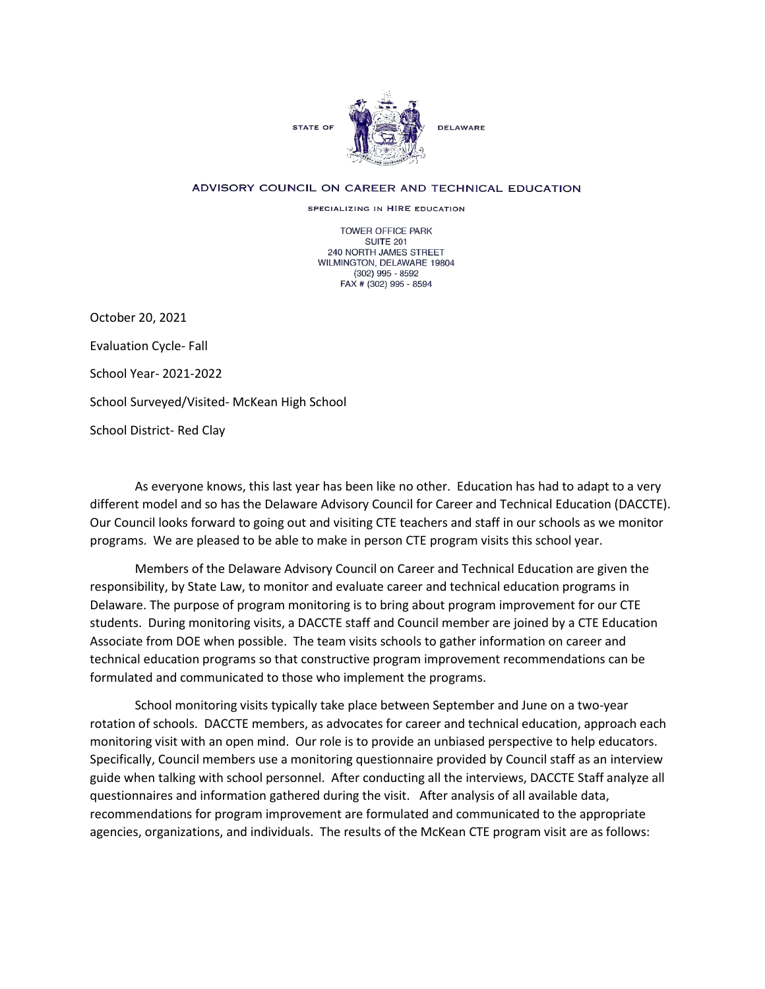

## ADVISORY COUNCIL ON CAREER AND TECHNICAL EDUCATION

SPECIALIZING IN HIRE EDUCATION

TOWER OFFICE PARK SUITE 201 240 NORTH JAMES STREET WILMINGTON, DELAWARE 19804 (302) 995 - 8592 FAX # (302) 995 - 8594

October 20, 2021 Evaluation Cycle- Fall School Year- 2021-2022 School Surveyed/Visited- McKean High School School District- Red Clay

As everyone knows, this last year has been like no other. Education has had to adapt to a very different model and so has the Delaware Advisory Council for Career and Technical Education (DACCTE). Our Council looks forward to going out and visiting CTE teachers and staff in our schools as we monitor programs. We are pleased to be able to make in person CTE program visits this school year.

Members of the Delaware Advisory Council on Career and Technical Education are given the responsibility, by State Law, to monitor and evaluate career and technical education programs in Delaware. The purpose of program monitoring is to bring about program improvement for our CTE students. During monitoring visits, a DACCTE staff and Council member are joined by a CTE Education Associate from DOE when possible. The team visits schools to gather information on career and technical education programs so that constructive program improvement recommendations can be formulated and communicated to those who implement the programs.

School monitoring visits typically take place between September and June on a two-year rotation of schools. DACCTE members, as advocates for career and technical education, approach each monitoring visit with an open mind. Our role is to provide an unbiased perspective to help educators. Specifically, Council members use a monitoring questionnaire provided by Council staff as an interview guide when talking with school personnel. After conducting all the interviews, DACCTE Staff analyze all questionnaires and information gathered during the visit. After analysis of all available data, recommendations for program improvement are formulated and communicated to the appropriate agencies, organizations, and individuals. The results of the McKean CTE program visit are as follows: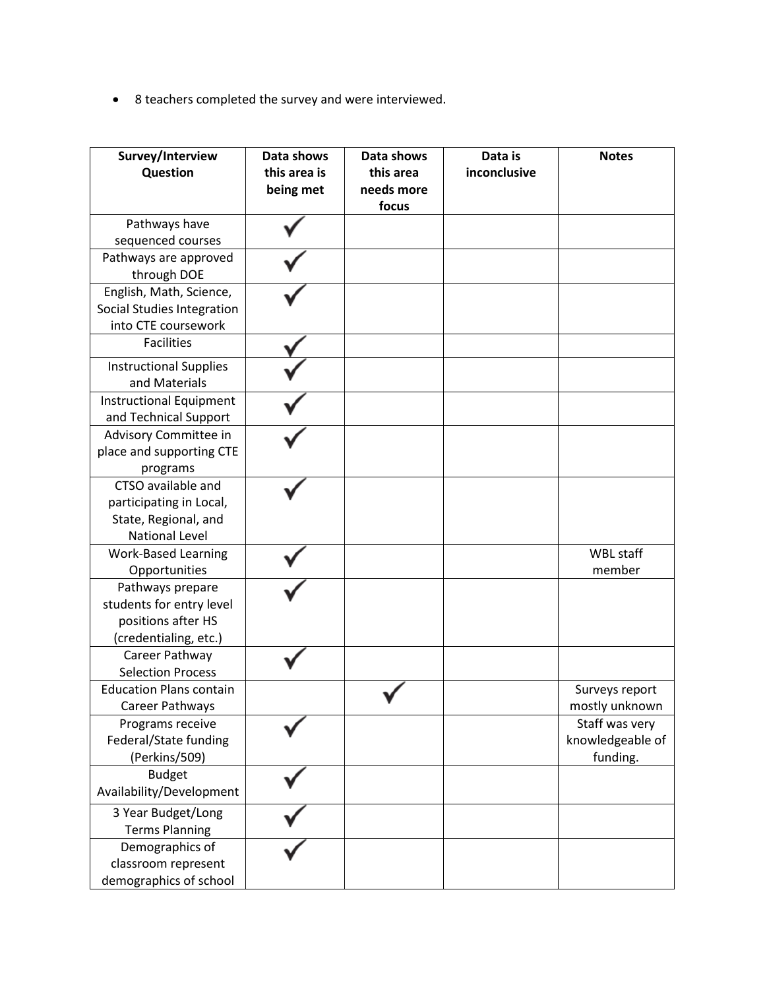• 8 teachers completed the survey and were interviewed.

| Survey/Interview<br>Question                                                                   | Data shows<br>this area is<br>being met | Data shows<br>this area<br>needs more<br>focus | Data is<br>inconclusive | <b>Notes</b>                                   |
|------------------------------------------------------------------------------------------------|-----------------------------------------|------------------------------------------------|-------------------------|------------------------------------------------|
| Pathways have<br>sequenced courses                                                             |                                         |                                                |                         |                                                |
| Pathways are approved<br>through DOE                                                           |                                         |                                                |                         |                                                |
| English, Math, Science,<br>Social Studies Integration<br>into CTE coursework                   |                                         |                                                |                         |                                                |
| <b>Facilities</b>                                                                              |                                         |                                                |                         |                                                |
| <b>Instructional Supplies</b><br>and Materials                                                 |                                         |                                                |                         |                                                |
| <b>Instructional Equipment</b><br>and Technical Support                                        |                                         |                                                |                         |                                                |
| Advisory Committee in<br>place and supporting CTE<br>programs                                  |                                         |                                                |                         |                                                |
| CTSO available and<br>participating in Local,<br>State, Regional, and<br><b>National Level</b> |                                         |                                                |                         |                                                |
| <b>Work-Based Learning</b><br>Opportunities                                                    |                                         |                                                |                         | WBL staff<br>member                            |
| Pathways prepare<br>students for entry level<br>positions after HS<br>(credentialing, etc.)    |                                         |                                                |                         |                                                |
| Career Pathway<br><b>Selection Process</b>                                                     |                                         |                                                |                         |                                                |
| <b>Education Plans contain</b><br>Career Pathways                                              |                                         |                                                |                         | Surveys report<br>mostly unknown               |
| Programs receive<br>Federal/State funding<br>(Perkins/509)                                     |                                         |                                                |                         | Staff was very<br>knowledgeable of<br>funding. |
| <b>Budget</b><br>Availability/Development                                                      |                                         |                                                |                         |                                                |
| 3 Year Budget/Long<br><b>Terms Planning</b>                                                    |                                         |                                                |                         |                                                |
| Demographics of<br>classroom represent<br>demographics of school                               |                                         |                                                |                         |                                                |